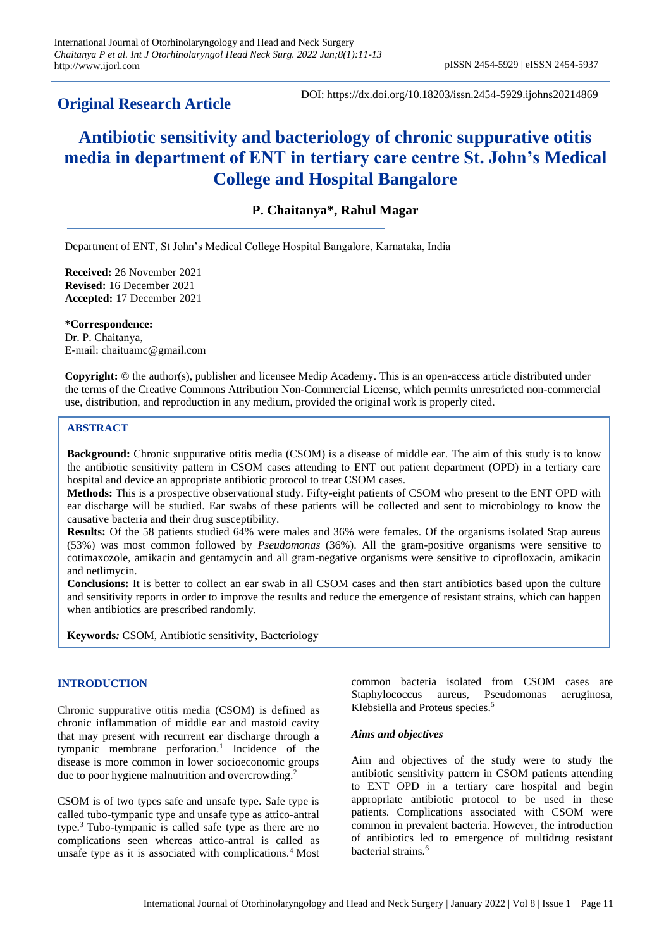# **Original Research Article**

DOI: https://dx.doi.org/10.18203/issn.2454-5929.ijohns20214869

# **Antibiotic sensitivity and bacteriology of chronic suppurative otitis media in department of ENT in tertiary care centre St. John's Medical College and Hospital Bangalore**

# **P. Chaitanya\*, Rahul Magar**

Department of ENT, St John's Medical College Hospital Bangalore, Karnataka, India

**Received:** 26 November 2021 **Revised:** 16 December 2021 **Accepted:** 17 December 2021

**\*Correspondence:** Dr. P. Chaitanya, E-mail: chaituamc@gmail.com

**Copyright:** © the author(s), publisher and licensee Medip Academy. This is an open-access article distributed under the terms of the Creative Commons Attribution Non-Commercial License, which permits unrestricted non-commercial use, distribution, and reproduction in any medium, provided the original work is properly cited.

# **ABSTRACT**

**Background:** Chronic suppurative otitis media (CSOM) is a disease of middle ear. The aim of this study is to know the antibiotic sensitivity pattern in CSOM cases attending to ENT out patient department (OPD) in a tertiary care hospital and device an appropriate antibiotic protocol to treat CSOM cases.

**Methods:** This is a prospective observational study. Fifty-eight patients of CSOM who present to the ENT OPD with ear discharge will be studied. Ear swabs of these patients will be collected and sent to microbiology to know the causative bacteria and their drug susceptibility.

**Results:** Of the 58 patients studied 64% were males and 36% were females. Of the organisms isolated Stap aureus (53%) was most common followed by *Pseudomonas* (36%). All the gram-positive organisms were sensitive to cotimaxozole, amikacin and gentamycin and all gram-negative organisms were sensitive to ciprofloxacin, amikacin and netlimycin.

**Conclusions:** It is better to collect an ear swab in all CSOM cases and then start antibiotics based upon the culture and sensitivity reports in order to improve the results and reduce the emergence of resistant strains, which can happen when antibiotics are prescribed randomly.

**Keywords***:* CSOM, Antibiotic sensitivity, Bacteriology

## **INTRODUCTION**

Chronic suppurative otitis media (CSOM) is defined as chronic inflammation of middle ear and mastoid cavity that may present with recurrent ear discharge through a tympanic membrane perforation.<sup>1</sup> Incidence of the disease is more common in lower socioeconomic groups due to poor hygiene malnutrition and overcrowding.<sup>2</sup>

CSOM is of two types safe and unsafe type. Safe type is called tubo-tympanic type and unsafe type as attico-antral type.<sup>3</sup> Tubo-tympanic is called safe type as there are no complications seen whereas attico-antral is called as unsafe type as it is associated with complications.<sup>4</sup> Most common bacteria isolated from CSOM cases are Staphylococcus aureus, Pseudomonas aeruginosa, Klebsiella and Proteus species.<sup>5</sup>

#### *Aims and objectives*

Aim and objectives of the study were to study the antibiotic sensitivity pattern in CSOM patients attending to ENT OPD in a tertiary care hospital and begin appropriate antibiotic protocol to be used in these patients. Complications associated with CSOM were common in prevalent bacteria. However, the introduction of antibiotics led to emergence of multidrug resistant bacterial strains.<sup>6</sup>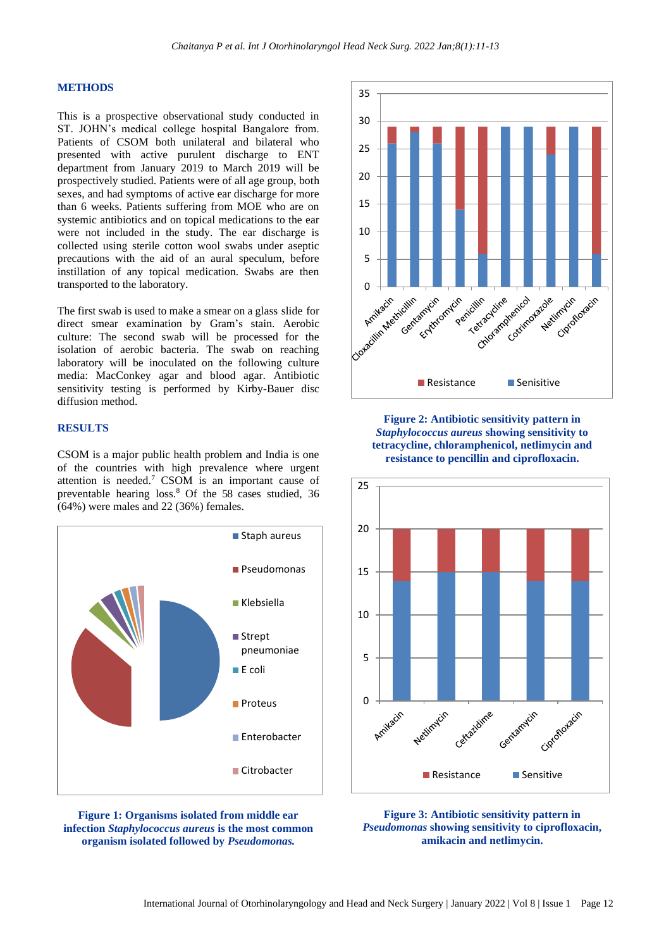#### **METHODS**

This is a prospective observational study conducted in ST. JOHN's medical college hospital Bangalore from. Patients of CSOM both unilateral and bilateral who presented with active purulent discharge to ENT department from January 2019 to March 2019 will be prospectively studied. Patients were of all age group, both sexes, and had symptoms of active ear discharge for more than 6 weeks. Patients suffering from MOE who are on systemic antibiotics and on topical medications to the ear were not included in the study. The ear discharge is collected using sterile cotton wool swabs under aseptic precautions with the aid of an aural speculum, before instillation of any topical medication. Swabs are then transported to the laboratory.

The first swab is used to make a smear on a glass slide for direct smear examination by Gram's stain. Aerobic culture: The second swab will be processed for the isolation of aerobic bacteria. The swab on reaching laboratory will be inoculated on the following culture media: MacConkey agar and blood agar. Antibiotic sensitivity testing is performed by Kirby-Bauer disc diffusion method.

## **RESULTS**

CSOM is a major public health problem and India is one of the countries with high prevalence where urgent attention is needed.<sup>7</sup> CSOM is an important cause of preventable hearing loss.<sup>8</sup> Of the 58 cases studied, 36 (64%) were males and 22 (36%) females.







**Figure 2: Antibiotic sensitivity pattern in**  *Staphylococcus aureus* **showing sensitivity to tetracycline, chloramphenicol, netlimycin and resistance to pencillin and ciprofloxacin.**